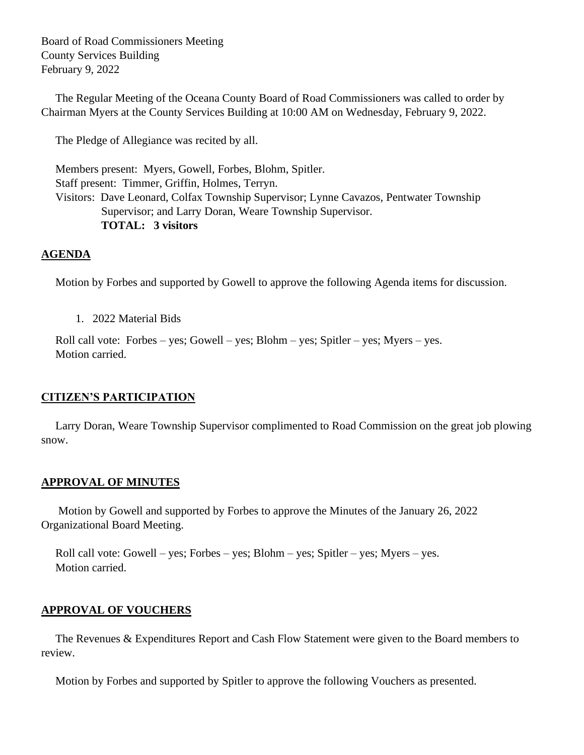Board of Road Commissioners Meeting County Services Building February 9, 2022

 The Regular Meeting of the Oceana County Board of Road Commissioners was called to order by Chairman Myers at the County Services Building at 10:00 AM on Wednesday, February 9, 2022.

The Pledge of Allegiance was recited by all.

 Members present: Myers, Gowell, Forbes, Blohm, Spitler. Staff present: Timmer, Griffin, Holmes, Terryn. Visitors: Dave Leonard, Colfax Township Supervisor; Lynne Cavazos, Pentwater Township Supervisor; and Larry Doran, Weare Township Supervisor. **TOTAL: 3 visitors**

# **AGENDA**

Motion by Forbes and supported by Gowell to approve the following Agenda items for discussion.

1. 2022 Material Bids

 Roll call vote: Forbes – yes; Gowell – yes; Blohm – yes; Spitler – yes; Myers – yes. Motion carried.

## **CITIZEN'S PARTICIPATION**

 Larry Doran, Weare Township Supervisor complimented to Road Commission on the great job plowing snow.

## **APPROVAL OF MINUTES**

Motion by Gowell and supported by Forbes to approve the Minutes of the January 26, 2022 Organizational Board Meeting.

 Roll call vote: Gowell – yes; Forbes – yes; Blohm – yes; Spitler – yes; Myers – yes. Motion carried.

## **APPROVAL OF VOUCHERS**

 The Revenues & Expenditures Report and Cash Flow Statement were given to the Board members to review.

Motion by Forbes and supported by Spitler to approve the following Vouchers as presented.